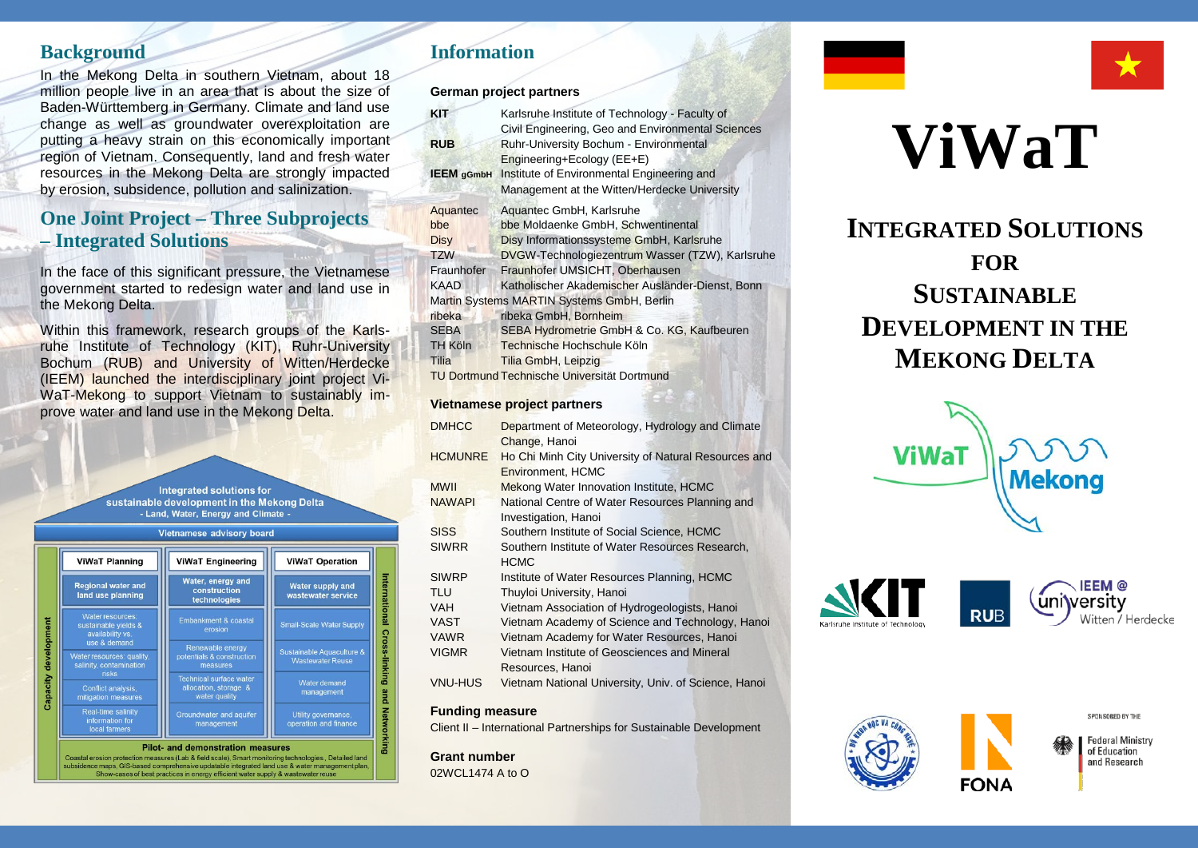#### **Background**

In the Mekong Delta in southern Vietnam, about 18 million people live in an area that is about the size of Baden-Württemberg in Germany. Climate and land use change as well as groundwater overexploitation are putting a heavy strain on this economically important region of Vietnam. Consequently, land and fresh water resources in the Mekong Delta are strongly impacted by erosion, subsidence, pollution and salinization.

## **One Joint Project – Three Subprojects – Integrated Solutions**

In the face of this significant pressure, the Vietnamese government started to redesign water and land use in the Mekong Delta.

Within this framework, research groups of the Karlsruhe Institute of Technology (KIT), Ruhr-University Bochum (RUB) and University of Witten/Herdecke (IEEM) launched the interdisciplinary joint project Vi-WaT-Mekong to support Vietnam to sustainably improve water and land use in the Mekong Delta.

> Integrated solutions for sustainable development in the Mekong Delta - Land, Water, Energy and Climate -



## **Information**

**German project partners**

| <b>KIT</b>        | Karlsruhe Institute of Technology - Faculty of    |
|-------------------|---------------------------------------------------|
|                   | Civil Engineering, Geo and Environmental Sciences |
| <b>RUB</b>        | Ruhr-University Bochum - Environmental            |
|                   | Engineering+Ecology (EE+E)                        |
| <b>IEEM</b> gGmbH | Institute of Environmental Engineering and        |
|                   | Management at the Witten/Herdecke University      |
| Aquantec          | Aquantec GmbH, Karlsruhe                          |
| bbe               | bbe Moldaenke GmbH, Schwentinental                |
| <b>Disy</b>       | Disy Informationssysteme GmbH, Karlsruhe          |
| <b>TZW</b>        | DVGW-Technologiezentrum Wasser (TZW), Karlsruhe   |
| Fraunhofer        | Fraunhofer UMSICHT, Oberhausen                    |
| <b>KAAD</b>       | Katholischer Akademischer Ausländer-Dienst, Bonn  |
|                   | Martin Systems MARTIN Systems GmbH, Berlin        |
| ribeka            | ribeka GmbH, Bornheim                             |
| <b>SEBA</b>       | SEBA Hydrometrie GmbH & Co. KG, Kaufbeuren        |
| <b>TH Köln</b>    | Technische Hochschule Köln                        |
| Tilia             | Tilia GmbH, Leipzig                               |
|                   | TU Dortmund Technische Universität Dortmund       |
|                   |                                                   |

#### **Vietnamese project partners**

| <b>DMHCC</b>   | Department of Meteorology, Hydrology and Climate<br>Change, Hanoi                |
|----------------|----------------------------------------------------------------------------------|
| <b>HCMUNRE</b> | Ho Chi Minh City University of Natural Resources and<br><b>Environment, HCMC</b> |
| <b>MWII</b>    | Mekong Water Innovation Institute, HCMC                                          |
| <b>NAWAPI</b>  | National Centre of Water Resources Planning and                                  |
|                | Investigation, Hanoi                                                             |
| <b>SISS</b>    | Southern Institute of Social Science, HCMC                                       |
| <b>SIWRR</b>   | Southern Institute of Water Resources Research.                                  |
|                | <b>HCMC</b>                                                                      |
| <b>SIWRP</b>   | Institute of Water Resources Planning, HCMC                                      |
| TLU            | Thuyloi University, Hanoi                                                        |
| <b>VAH</b>     | Vietnam Association of Hydrogeologists, Hanoi                                    |
| <b>VAST</b>    | Vietnam Academy of Science and Technology, Hanoi                                 |
| <b>VAWR</b>    | Vietnam Academy for Water Resources, Hanoi                                       |
| <b>VIGMR</b>   | Vietnam Institute of Geosciences and Mineral                                     |
|                | Resources, Hanoi                                                                 |
| <b>VNU-HUS</b> | Vietnam National University, Univ. of Science, Hanoi                             |
|                |                                                                                  |

#### **Funding measure**

Client II – International Partnerships for Sustainable Development

**Grant number** 02WCL1474 A to O



# **INTEGRATED SOLUTIONS FOR SUSTAINABLE DEVELOPMENT IN THE MEKONG DELTA**



**RUR** 









**Federal Ministry** of Education and Research